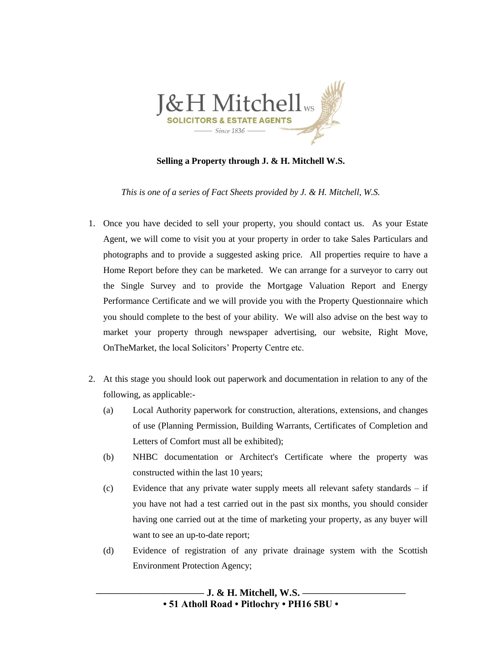

## **Selling a Property through J. & H. Mitchell W.S.**

*This is one of a series of Fact Sheets provided by J. & H. Mitchell, W.S.*

- 1. Once you have decided to sell your property, you should contact us. As your Estate Agent, we will come to visit you at your property in order to take Sales Particulars and photographs and to provide a suggested asking price. All properties require to have a Home Report before they can be marketed. We can arrange for a surveyor to carry out the Single Survey and to provide the Mortgage Valuation Report and Energy Performance Certificate and we will provide you with the Property Questionnaire which you should complete to the best of your ability. We will also advise on the best way to market your property through newspaper advertising, our website, Right Move, OnTheMarket, the local Solicitors' Property Centre etc.
- 2. At this stage you should look out paperwork and documentation in relation to any of the following, as applicable:-
	- (a) Local Authority paperwork for construction, alterations, extensions, and changes of use (Planning Permission, Building Warrants, Certificates of Completion and Letters of Comfort must all be exhibited);
	- (b) NHBC documentation or Architect's Certificate where the property was constructed within the last 10 years;
	- (c) Evidence that any private water supply meets all relevant safety standards if you have not had a test carried out in the past six months, you should consider having one carried out at the time of marketing your property, as any buyer will want to see an up-to-date report;
	- (d) Evidence of registration of any private drainage system with the Scottish Environment Protection Agency;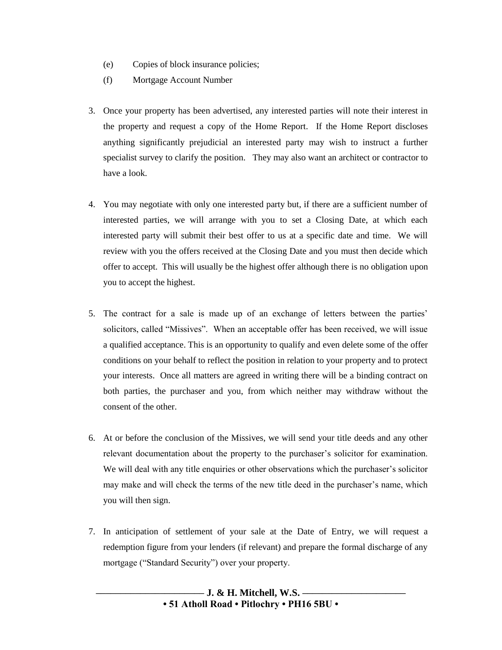- (e) Copies of block insurance policies;
- (f) Mortgage Account Number
- 3. Once your property has been advertised, any interested parties will note their interest in the property and request a copy of the Home Report. If the Home Report discloses anything significantly prejudicial an interested party may wish to instruct a further specialist survey to clarify the position. They may also want an architect or contractor to have a look.
- 4. You may negotiate with only one interested party but, if there are a sufficient number of interested parties, we will arrange with you to set a Closing Date, at which each interested party will submit their best offer to us at a specific date and time. We will review with you the offers received at the Closing Date and you must then decide which offer to accept. This will usually be the highest offer although there is no obligation upon you to accept the highest.
- 5. The contract for a sale is made up of an exchange of letters between the parties' solicitors, called "Missives". When an acceptable offer has been received, we will issue a qualified acceptance. This is an opportunity to qualify and even delete some of the offer conditions on your behalf to reflect the position in relation to your property and to protect your interests. Once all matters are agreed in writing there will be a binding contract on both parties, the purchaser and you, from which neither may withdraw without the consent of the other.
- 6. At or before the conclusion of the Missives, we will send your title deeds and any other relevant documentation about the property to the purchaser's solicitor for examination. We will deal with any title enquiries or other observations which the purchaser's solicitor may make and will check the terms of the new title deed in the purchaser's name, which you will then sign.
- 7. In anticipation of settlement of your sale at the Date of Entry, we will request a redemption figure from your lenders (if relevant) and prepare the formal discharge of any mortgage ("Standard Security") over your property.